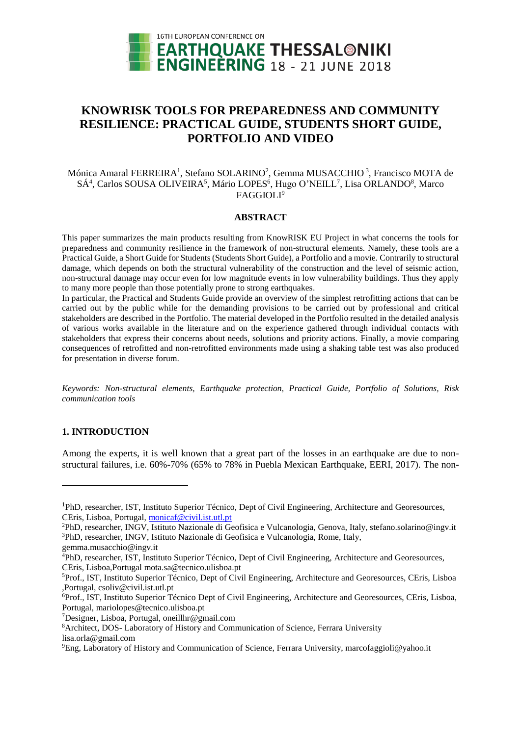

# **KNOWRISK TOOLS FOR PREPAREDNESS AND COMMUNITY RESILIENCE: PRACTICAL GUIDE, STUDENTS SHORT GUIDE, PORTFOLIO AND VIDEO**

# Mónica Amaral FERREIRA<sup>1</sup>, Stefano SOLARINO<sup>2</sup>, Gemma MUSACCHIO<sup>3</sup>, Francisco MOTA de SÁ<sup>4</sup>, Carlos SOUSA OLIVEIRA<sup>5</sup>, Mário LOPES<sup>6</sup>, Hugo O'NEILL<sup>7</sup>, Lisa ORLANDO<sup>8</sup>, Marco FAGGIOLI<sup>9</sup>

### **ABSTRACT**

This paper summarizes the main products resulting from KnowRISK EU Project in what concerns the tools for preparedness and community resilience in the framework of non-structural elements. Namely, these tools are a Practical Guide, a Short Guide for Students (Students Short Guide), a Portfolio and a movie. Contrarily to structural damage, which depends on both the structural vulnerability of the construction and the level of seismic action, non-structural damage may occur even for low magnitude events in low vulnerability buildings. Thus they apply to many more people than those potentially prone to strong earthquakes.

In particular, the Practical and Students Guide provide an overview of the simplest retrofitting actions that can be carried out by the public while for the demanding provisions to be carried out by professional and critical stakeholders are described in the Portfolio. The material developed in the Portfolio resulted in the detailed analysis of various works available in the literature and on the experience gathered through individual contacts with stakeholders that express their concerns about needs, solutions and priority actions. Finally, a movie comparing consequences of retrofitted and non-retrofitted environments made using a shaking table test was also produced for presentation in diverse forum.

*Keywords: Non-structural elements, Earthquake protection, Practical Guide, Portfolio of Solutions, Risk communication tools*

### **1. INTRODUCTION**

l

Among the experts, it is well known that a great part of the losses in an earthquake are due to nonstructural failures, i.e. 60%-70% (65% to 78% in Puebla Mexican Earthquake, EERI, 2017). The non-

<sup>&</sup>lt;sup>1</sup>PhD, researcher, IST, Instituto Superior Técnico, Dept of Civil Engineering, Architecture and Georesources, CEris, Lisboa, Portugal, [monicaf@civil.ist.utl.pt](mailto:monicaf@civil.ist.utl.pt)

<sup>2</sup>PhD, researcher, INGV, Istituto Nazionale di Geofisica e Vulcanologia, Genova, Italy, stefano.solarino@ingv.it <sup>3</sup>PhD, researcher, INGV, Istituto Nazionale di Geofisica e Vulcanologia, Rome, Italy,

gemma.musacchio@ingv.it

<sup>4</sup>PhD, researcher, IST, Instituto Superior Técnico, Dept of Civil Engineering, Architecture and Georesources, CEris, Lisboa,Portugal mota.sa@tecnico.ulisboa.pt

<sup>5</sup>Prof., IST, Instituto Superior Técnico, Dept of Civil Engineering, Architecture and Georesources, CEris, Lisboa ,Portugal, csoliv@civil.ist.utl.pt

<sup>6</sup>Prof., IST, Instituto Superior Técnico Dept of Civil Engineering, Architecture and Georesources, CEris, Lisboa, Portugal, mariolopes@tecnico.ulisboa.pt

<sup>7</sup>Designer, Lisboa, Portugal, oneillhr@gmail.com

<sup>8</sup>Architect, DOS- Laboratory of History and Communication of Science, Ferrara University lisa.orla@gmail.com

<sup>9</sup>Eng, Laboratory of History and Communication of Science, Ferrara University, marcofaggioli@yahoo.it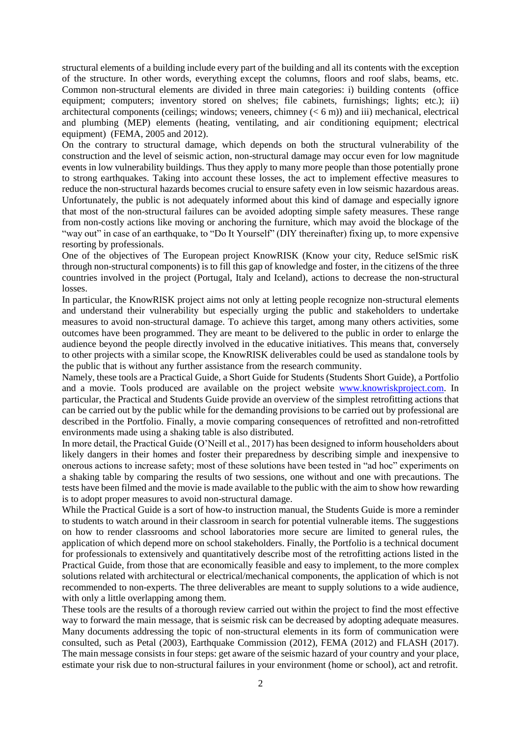structural elements of a building include every part of the building and all its contents with the exception of the structure. In other words, everything except the columns, floors and roof slabs, beams, etc. Common non-structural elements are divided in three main categories: i) building contents (office equipment; computers; inventory stored on shelves; file cabinets, furnishings; lights; etc.); ii) architectural components (ceilings; windows; veneers, chimney  $(< 6 \text{ m})$ ) and iii) mechanical, electrical and plumbing (MEP) elements (heating, ventilating, and air conditioning equipment; electrical equipment) (FEMA, 2005 and 2012).

On the contrary to structural damage, which depends on both the structural vulnerability of the construction and the level of seismic action, non-structural damage may occur even for low magnitude events in low vulnerability buildings. Thus they apply to many more people than those potentially prone to strong earthquakes. Taking into account these losses, the act to implement effective measures to reduce the non-structural hazards becomes crucial to ensure safety even in low seismic hazardous areas. Unfortunately, the public is not adequately informed about this kind of damage and especially ignore that most of the non-structural failures can be avoided adopting simple safety measures. These range from non-costly actions like moving or anchoring the furniture, which may avoid the blockage of the "way out" in case of an earthquake, to "Do It Yourself" (DIY thereinafter) fixing up, to more expensive resorting by professionals.

One of the objectives of The European project KnowRISK (Know your city, Reduce seISmic risK through non-structural components) is to fill this gap of knowledge and foster, in the citizens of the three countries involved in the project (Portugal, Italy and Iceland), actions to decrease the non-structural losses.

In particular, the KnowRISK project aims not only at letting people recognize non-structural elements and understand their vulnerability but especially urging the public and stakeholders to undertake measures to avoid non-structural damage. To achieve this target, among many others activities, some outcomes have been programmed. They are meant to be delivered to the public in order to enlarge the audience beyond the people directly involved in the educative initiatives. This means that, conversely to other projects with a similar scope, the KnowRISK deliverables could be used as standalone tools by the public that is without any further assistance from the research community.

Namely, these tools are a Practical Guide, a Short Guide for Students (Students Short Guide), a Portfolio and a movie. Tools produced are available on the project website [www.knowriskproject.com.](http://www.knowriskproject.com/) In particular, the Practical and Students Guide provide an overview of the simplest retrofitting actions that can be carried out by the public while for the demanding provisions to be carried out by professional are described in the Portfolio. Finally, a movie comparing consequences of retrofitted and non-retrofitted environments made using a shaking table is also distributed.

In more detail, the Practical Guide (O'Neill et al., 2017) has been designed to inform householders about likely dangers in their homes and foster their preparedness by describing simple and inexpensive to onerous actions to increase safety; most of these solutions have been tested in "ad hoc" experiments on a shaking table by comparing the results of two sessions, one without and one with precautions. The tests have been filmed and the movie is made available to the public with the aim to show how rewarding is to adopt proper measures to avoid non-structural damage.

While the Practical Guide is a sort of how-to instruction manual, the Students Guide is more a reminder to students to watch around in their classroom in search for potential vulnerable items. The suggestions on how to render classrooms and school laboratories more secure are limited to general rules, the application of which depend more on school stakeholders. Finally, the Portfolio is a technical document for professionals to extensively and quantitatively describe most of the retrofitting actions listed in the Practical Guide, from those that are economically feasible and easy to implement, to the more complex solutions related with architectural or electrical/mechanical components, the application of which is not recommended to non-experts. The three deliverables are meant to supply solutions to a wide audience, with only a little overlapping among them.

These tools are the results of a thorough review carried out within the project to find the most effective way to forward the main message, that is seismic risk can be decreased by adopting adequate measures. Many documents addressing the topic of non-structural elements in its form of communication were consulted, such as Petal (2003), Earthquake Commission (2012), FEMA (2012) and FLASH (2017). The main message consists in four steps: get aware of the seismic hazard of your country and your place, estimate your risk due to non-structural failures in your environment (home or school), act and retrofit.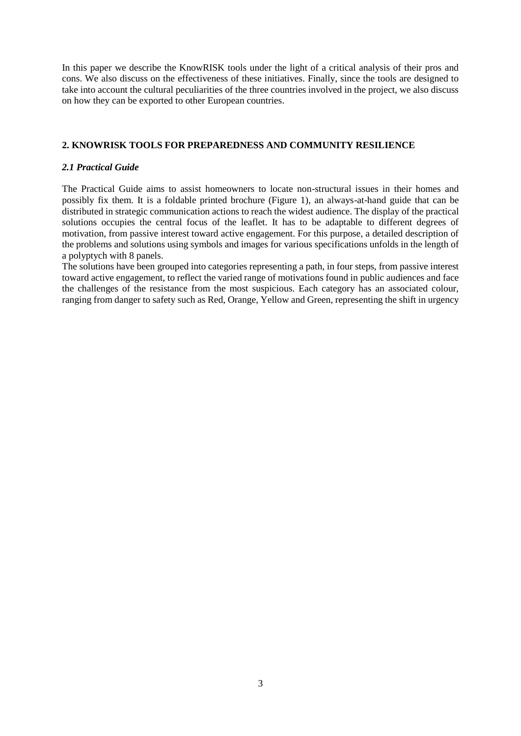In this paper we describe the KnowRISK tools under the light of a critical analysis of their pros and cons. We also discuss on the effectiveness of these initiatives. Finally, since the tools are designed to take into account the cultural peculiarities of the three countries involved in the project, we also discuss on how they can be exported to other European countries.

# **2. KNOWRISK TOOLS FOR PREPAREDNESS AND COMMUNITY RESILIENCE**

# *2.1 Practical Guide*

The Practical Guide aims to assist homeowners to locate non-structural issues in their homes and possibly fix them. It is a foldable printed brochure (Figure 1), an always-at-hand guide that can be distributed in strategic communication actions to reach the widest audience. The display of the practical solutions occupies the central focus of the leaflet. It has to be adaptable to different degrees of motivation, from passive interest toward active engagement. For this purpose, a detailed description of the problems and solutions using symbols and images for various specifications unfolds in the length of a polyptych with 8 panels.

The solutions have been grouped into categories representing a path, in four steps, from passive interest toward active engagement, to reflect the varied range of motivations found in public audiences and face the challenges of the resistance from the most suspicious. Each category has an associated colour, ranging from danger to safety such as Red, Orange, Yellow and Green, representing the shift in urgency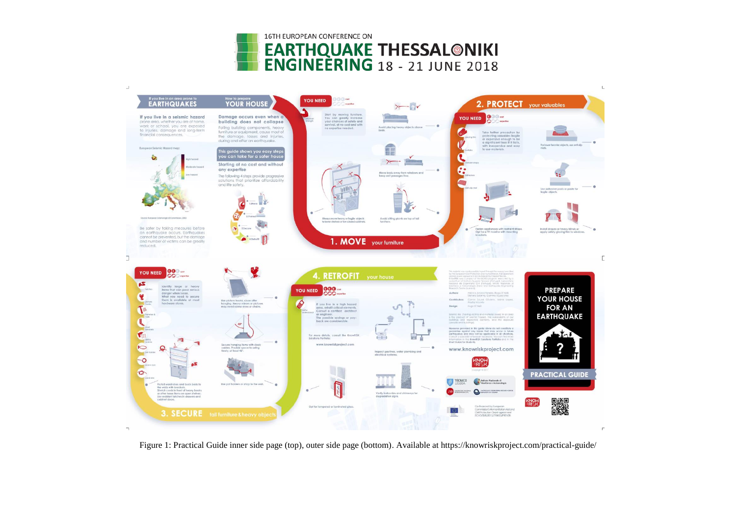



Figure 1: Practical Guide inner side page (top), outer side page (bottom). Available at https://knowriskproject.com/practical-guide/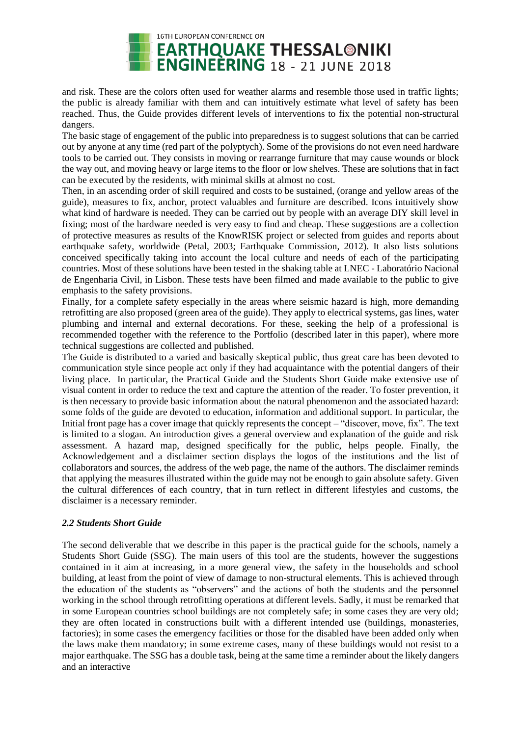

and risk. These are the colors often used for weather alarms and resemble those used in traffic lights; the public is already familiar with them and can intuitively estimate what level of safety has been reached. Thus, the Guide provides different levels of interventions to fix the potential non-structural dangers.

The basic stage of engagement of the public into preparedness is to suggest solutions that can be carried out by anyone at any time (red part of the polyptych). Some of the provisions do not even need hardware tools to be carried out. They consists in moving or rearrange furniture that may cause wounds or block the way out, and moving heavy or large items to the floor or low shelves. These are solutions that in fact can be executed by the residents, with minimal skills at almost no cost.

Then, in an ascending order of skill required and costs to be sustained, (orange and yellow areas of the guide), measures to fix, anchor, protect valuables and furniture are described. Icons intuitively show what kind of hardware is needed. They can be carried out by people with an average DIY skill level in fixing; most of the hardware needed is very easy to find and cheap. These suggestions are a collection of protective measures as results of the KnowRISK project or selected from guides and reports about earthquake safety, worldwide (Petal, 2003; Earthquake Commission, 2012). It also lists solutions conceived specifically taking into account the local culture and needs of each of the participating countries. Most of these solutions have been tested in the shaking table at LNEC - Laboratório Nacional de Engenharia Civil, in Lisbon. These tests have been filmed and made available to the public to give emphasis to the safety provisions.

Finally, for a complete safety especially in the areas where seismic hazard is high, more demanding retrofitting are also proposed (green area of the guide). They apply to electrical systems, gas lines, water plumbing and internal and external decorations. For these, seeking the help of a professional is recommended together with the reference to the Portfolio (described later in this paper), where more technical suggestions are collected and published.

The Guide is distributed to a varied and basically skeptical public, thus great care has been devoted to communication style since people act only if they had acquaintance with the potential dangers of their living place. In particular, the Practical Guide and the Students Short Guide make extensive use of visual content in order to reduce the text and capture the attention of the reader. To foster prevention, it is then necessary to provide basic information about the natural phenomenon and the associated hazard: some folds of the guide are devoted to education, information and additional support. In particular, the Initial front page has a cover image that quickly represents the concept – "discover, move, fix". The text is limited to a slogan. An introduction gives a general overview and explanation of the guide and risk assessment. A hazard map, designed specifically for the public, helps people. Finally, the Acknowledgement and a disclaimer section displays the logos of the institutions and the list of collaborators and sources, the address of the web page, the name of the authors. The disclaimer reminds that applying the measures illustrated within the guide may not be enough to gain absolute safety. Given the cultural differences of each country, that in turn reflect in different lifestyles and customs, the disclaimer is a necessary reminder.

# *2.2 Students Short Guide*

The second deliverable that we describe in this paper is the practical guide for the schools, namely a Students Short Guide (SSG). The main users of this tool are the students, however the suggestions contained in it aim at increasing, in a more general view, the safety in the households and school building, at least from the point of view of damage to non-structural elements. This is achieved through the education of the students as "observers" and the actions of both the students and the personnel working in the school through retrofitting operations at different levels. Sadly, it must be remarked that in some European countries school buildings are not completely safe; in some cases they are very old; they are often located in constructions built with a different intended use (buildings, monasteries, factories); in some cases the emergency facilities or those for the disabled have been added only when the laws make them mandatory; in some extreme cases, many of these buildings would not resist to a major earthquake. The SSG has a double task, being at the same time a reminder about the likely dangers and an interactive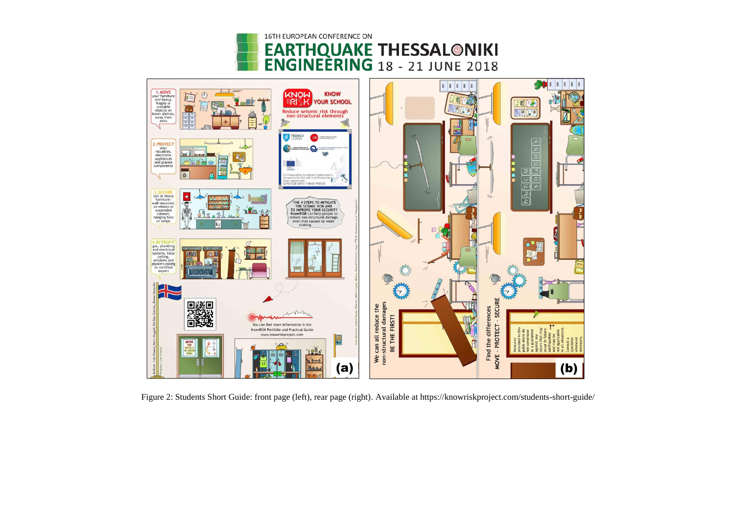



Figure 2: Students Short Guide: front page (left), rear page (right). Available at https://knowriskproject.com/students-short-guide/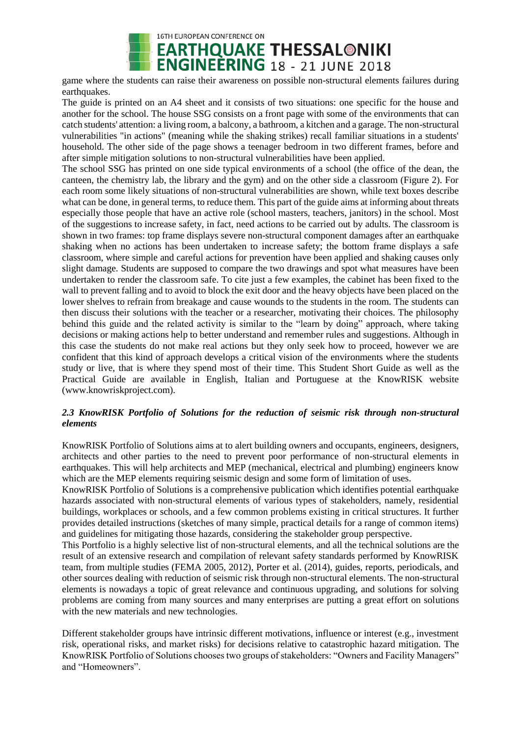

game where the students can raise their awareness on possible non-structural elements failures during earthquakes.

The guide is printed on an A4 sheet and it consists of two situations: one specific for the house and another for the school. The house SSG consists on a front page with some of the environments that can catch students' attention: a living room, a balcony, a bathroom, a kitchen and a garage. The non-structural vulnerabilities "in actions" (meaning while the shaking strikes) recall familiar situations in a students' household. The other side of the page shows a teenager bedroom in two different frames, before and after simple mitigation solutions to non-structural vulnerabilities have been applied.

The school SSG has printed on one side typical environments of a school (the office of the dean, the canteen, the chemistry lab, the library and the gym) and on the other side a classroom (Figure 2). For each room some likely situations of non-structural vulnerabilities are shown, while text boxes describe what can be done, in general terms, to reduce them. This part of the guide aims at informing about threats especially those people that have an active role (school masters, teachers, janitors) in the school. Most of the suggestions to increase safety, in fact, need actions to be carried out by adults. The classroom is shown in two frames: top frame displays severe non-structural component damages after an earthquake shaking when no actions has been undertaken to increase safety; the bottom frame displays a safe classroom, where simple and careful actions for prevention have been applied and shaking causes only slight damage. Students are supposed to compare the two drawings and spot what measures have been undertaken to render the classroom safe. To cite just a few examples, the cabinet has been fixed to the wall to prevent falling and to avoid to block the exit door and the heavy objects have been placed on the lower shelves to refrain from breakage and cause wounds to the students in the room. The students can then discuss their solutions with the teacher or a researcher, motivating their choices. The philosophy behind this guide and the related activity is similar to the "learn by doing" approach, where taking decisions or making actions help to better understand and remember rules and suggestions. Although in this case the students do not make real actions but they only seek how to proceed, however we are confident that this kind of approach develops a critical vision of the environments where the students study or live, that is where they spend most of their time. This Student Short Guide as well as the Practical Guide are available in English, Italian and Portuguese at the KnowRISK website (www.knowriskproject.com).

# *2.3 KnowRISK Portfolio of Solutions for the reduction of seismic risk through non-structural elements*

KnowRISK Portfolio of Solutions aims at to alert building owners and occupants, engineers, designers, architects and other parties to the need to prevent poor performance of non-structural elements in earthquakes. This will help architects and MEP (mechanical, electrical and plumbing) engineers know which are the MEP elements requiring seismic design and some form of limitation of uses.

KnowRISK Portfolio of Solutions is a comprehensive publication which identifies potential earthquake hazards associated with non-structural elements of various types of stakeholders, namely, residential buildings, workplaces or schools, and a few common problems existing in critical structures. It further provides detailed instructions (sketches of many simple, practical details for a range of common items) and guidelines for mitigating those hazards, considering the stakeholder group perspective.

This Portfolio is a highly selective list of non-structural elements, and all the technical solutions are the result of an extensive research and compilation of relevant safety standards performed by KnowRISK team, from multiple studies (FEMA 2005, 2012), Porter et al. (2014), guides, reports, periodicals, and other sources dealing with reduction of seismic risk through non-structural elements. The non-structural elements is nowadays a topic of great relevance and continuous upgrading, and solutions for solving problems are coming from many sources and many enterprises are putting a great effort on solutions with the new materials and new technologies.

Different stakeholder groups have intrinsic different motivations, influence or interest (e.g., investment risk, operational risks, and market risks) for decisions relative to catastrophic hazard mitigation. The KnowRISK Portfolio of Solutions chooses two groups of stakeholders: "Owners and Facility Managers" and "Homeowners".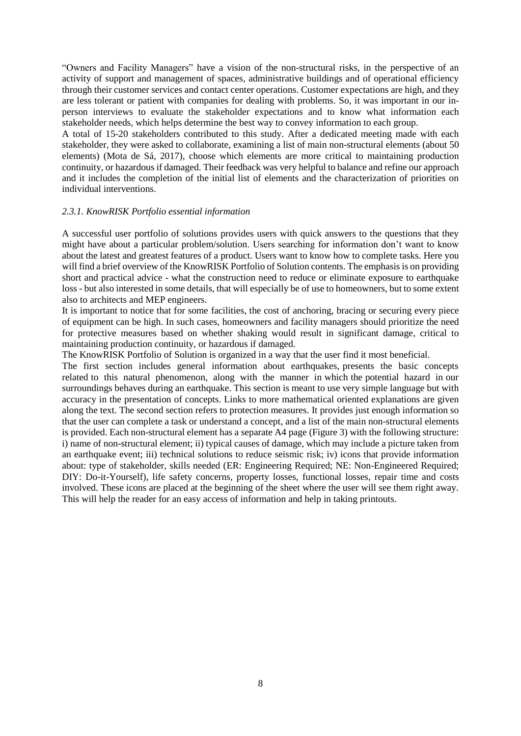"Owners and Facility Managers" have a vision of the non-structural risks, in the perspective of an activity of support and management of spaces, administrative buildings and of operational efficiency through their customer services and contact center operations. Customer expectations are high, and they are less tolerant or patient with companies for dealing with problems. So, it was important in our inperson interviews to evaluate the stakeholder expectations and to know what information each stakeholder needs, which helps determine the best way to convey information to each group.

A total of 15-20 stakeholders contributed to this study. After a dedicated meeting made with each stakeholder, they were asked to collaborate, examining a list of main non-structural elements (about 50 elements) (Mota de Sá, 2017), choose which elements are more critical to maintaining production continuity, or hazardous if damaged. Their feedback was very helpful to balance and refine our approach and it includes the completion of the initial list of elements and the characterization of priorities on individual interventions.

### *2.3.1. KnowRISK Portfolio essential information*

A successful user portfolio of solutions provides users with quick answers to the questions that they might have about a particular problem/solution. Users searching for information don't want to know about the latest and greatest features of a product. Users want to know how to complete tasks. Here you will find a brief overview of the KnowRISK Portfolio of Solution contents. The emphasis is on providing short and practical advice - what the construction need to reduce or eliminate exposure to earthquake loss - but also interested in some details, that will especially be of use to homeowners, but to some extent also to architects and MEP engineers.

It is important to notice that for some facilities, the cost of anchoring, bracing or securing every piece of equipment can be high. In such cases, homeowners and facility managers should prioritize the need for protective measures based on whether shaking would result in significant damage, critical to maintaining production continuity, or hazardous if damaged.

The KnowRISK Portfolio of Solution is organized in a way that the user find it most beneficial.

The first section includes general information about earthquakes, presents the basic concepts related to this natural phenomenon, along with the manner in which the potential hazard in our surroundings behaves during an earthquake. This section is meant to use very simple language but with accuracy in the presentation of concepts. Links to more mathematical oriented explanations are given along the text. The second section refers to protection measures. It provides just enough information so that the user can complete a task or understand a concept, and a list of the main non-structural elements is provided. Each non-structural element has a separate A4 page (Figure 3) with the following structure: i) name of non-structural element; ii) typical causes of damage, which may include a picture taken from an earthquake event; iii) technical solutions to reduce seismic risk; iv) icons that provide information about: type of stakeholder, skills needed (ER: Engineering Required; NE: Non-Engineered Required; DIY: Do-it-Yourself), life safety concerns, property losses, functional losses, repair time and costs involved. These icons are placed at the beginning of the sheet where the user will see them right away. This will help the reader for an easy access of information and help in taking printouts.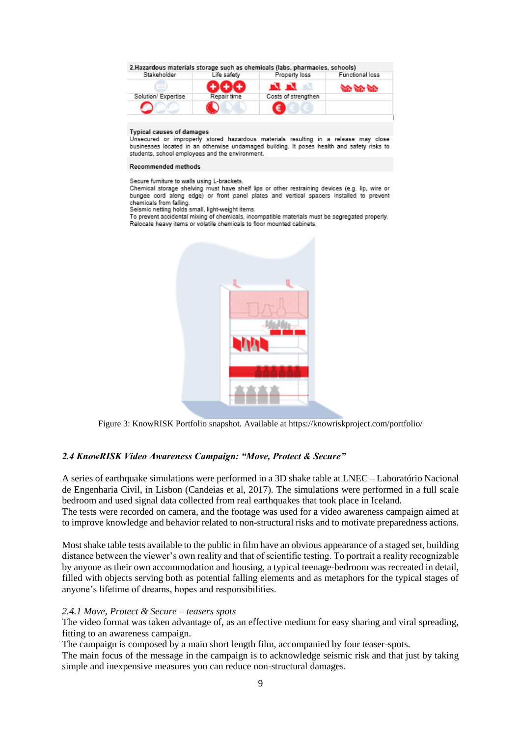2. Hazardous materials storage such as chemicals (labs, pharmacies, schools)

| stakeholder         | Life safety | Property loss       | Functional loss |
|---------------------|-------------|---------------------|-----------------|
|                     |             | N N                 | an an an        |
| Solution/ Expertise | Repair time | Costs of strengthen |                 |
|                     |             | €                   |                 |

#### **Typical causes of damages**

Unsecured or improperly stored hazardous materials resulting in a release may close businesses located in an otherwise undamaged building. It poses health and safety risks to students, school employees and the environment.

#### Recommended methods

Secure furniture to walls using L-brackets.

Chemical storage shelving must have shelf lips or other restraining devices (e.g. lip, wire or bungee cord along edge) or front panel plates and vertical spacers installed to prevent chemicals from falling

Seismic netting holds small, light-weight items.

To prevent accidental mixing of chemicals, incompatible materials must be segregated properly. Relocate heavy items or volatile chemicals to floor mounted cabinets.



Figure 3: KnowRISK Portfolio snapshot. Available at https://knowriskproject.com/portfolio/

### *2.4 KnowRISK Video Awareness Campaign: "Move, Protect & Secure"*

A series of earthquake simulations were performed in a 3D shake table at LNEC – Laboratório Nacional de Engenharia Civil, in Lisbon (Candeias et al, 2017). The simulations were performed in a full scale bedroom and used signal data collected from real earthquakes that took place in Iceland.

The tests were recorded on camera, and the footage was used for a video awareness campaign aimed at to improve knowledge and behavior related to non-structural risks and to motivate preparedness actions.

Most shake table tests available to the public in film have an obvious appearance of a staged set, building distance between the viewer's own reality and that of scientific testing. To portrait a reality recognizable by anyone as their own accommodation and housing, a typical teenage-bedroom was recreated in detail, filled with objects serving both as potential falling elements and as metaphors for the typical stages of anyone's lifetime of dreams, hopes and responsibilities.

### *2.4.1 Move, Protect & Secure – teasers spots*

The video format was taken advantage of, as an effective medium for easy sharing and viral spreading, fitting to an awareness campaign.

The campaign is composed by a main short length film, accompanied by four teaser-spots.

The main focus of the message in the campaign is to acknowledge seismic risk and that just by taking simple and inexpensive measures you can reduce non-structural damages.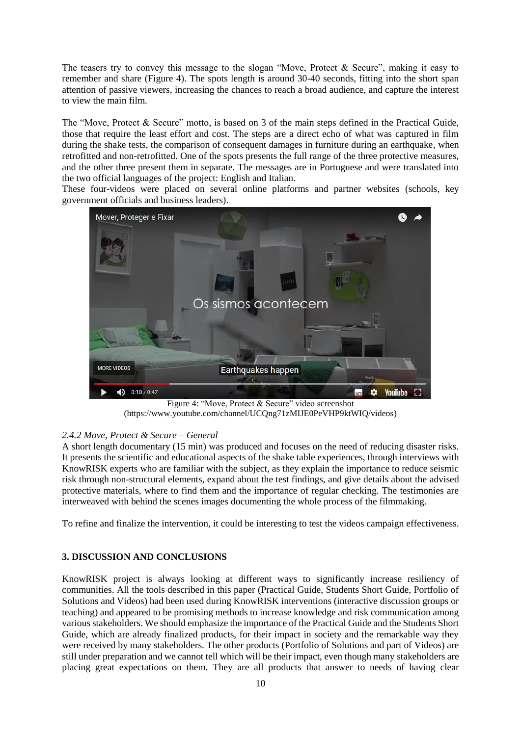The teasers try to convey this message to the slogan "Move, Protect & Secure", making it easy to remember and share (Figure 4). The spots length is around 30-40 seconds, fitting into the short span attention of passive viewers, increasing the chances to reach a broad audience, and capture the interest to view the main film.

The "Move, Protect & Secure" motto, is based on 3 of the main steps defined in the Practical Guide, those that require the least effort and cost. The steps are a direct echo of what was captured in film during the shake tests, the comparison of consequent damages in furniture during an earthquake, when retrofitted and non-retrofitted. One of the spots presents the full range of the three protective measures, and the other three present them in separate. The messages are in Portuguese and were translated into the two official languages of the project: English and Italian.

These four-videos were placed on several online platforms and partner websites (schools, key government officials and business leaders).



Figure 4: "Move, Protect & Secure" video screenshot (https://www.youtube.com/channel/UCQng71zMIJE0PeVHP9ktWIQ/videos)

# *2.4.2 Move, Protect & Secure – General*

A short length documentary (15 min) was produced and focuses on the need of reducing disaster risks. It presents the scientific and educational aspects of the shake table experiences, through interviews with KnowRISK experts who are familiar with the subject, as they explain the importance to reduce seismic risk through non-structural elements, expand about the test findings, and give details about the advised protective materials, where to find them and the importance of regular checking. The testimonies are interweaved with behind the scenes images documenting the whole process of the filmmaking.

To refine and finalize the intervention, it could be interesting to test the videos campaign effectiveness.

### **3. DISCUSSION AND CONCLUSIONS**

KnowRISK project is always looking at different ways to significantly increase resiliency of communities. All the tools described in this paper (Practical Guide, Students Short Guide, Portfolio of Solutions and Videos) had been used during KnowRISK interventions (interactive discussion groups or teaching) and appeared to be promising methods to increase knowledge and risk communication among various stakeholders. We should emphasize the importance of the Practical Guide and the Students Short Guide, which are already finalized products, for their impact in society and the remarkable way they were received by many stakeholders. The other products (Portfolio of Solutions and part of Videos) are still under preparation and we cannot tell which will be their impact, even though many stakeholders are placing great expectations on them. They are all products that answer to needs of having clear